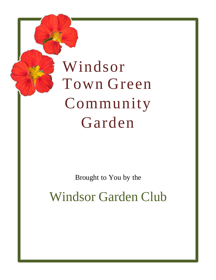# Windsor Town Green Community Garden

Brought to You by the

Windsor Garden Club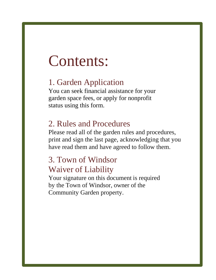## Contents:

## 1. Garden Application

You can seek financial assistance for your garden space fees, or apply for nonprofit status using this form.

### 2. Rules and Procedures

Please read all of the garden rules and procedures, print and sign the last page, acknowledging that you have read them and have agreed to follow them.

### 3. Town of Windsor Waiver of Liability

Your signature on this document is required by the Town of Windsor, owner of the Community Garden property.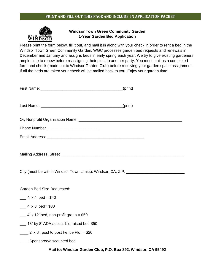#### **PRINT AND FILL OUT THIS PAGE AND INCLUDE IN APPLICATION PACKET**



#### **Windsor Town Green Community Garden 1-Year Garden Bed Application**

Please print the form below, fill it out, and mail it in along with your check in order to rent a bed in the Windsor Town Green Community Garden. WGC processes garden bed requests and renewals in December and January and assigns beds in early spring each year. We try to give existing gardeners ample time to renew before reassigning their plots to another party. You must mail us a completed form and check (made out to Windsor Garden Club) before receiving your garden space assignment. If all the beds are taken your check will be mailed back to you. Enjoy your garden time!

| City (must be within Windsor Town Limits): Windsor, CA, ZIP: ____________________ |  |  |
|-----------------------------------------------------------------------------------|--|--|
|                                                                                   |  |  |
| Garden Bed Size Requested:                                                        |  |  |
| $-4'$ x 4' bed = \$40                                                             |  |  |
| $-4' \times 8'$ bed= \$80                                                         |  |  |
| $\frac{1}{2}$ 4' x 12' bed, non-profit group = \$50                               |  |  |
| 18" by 8' ADA accessible raised bed \$50                                          |  |  |
| $2' \times 8'$ , post to post Fence Plot = \$20                                   |  |  |
| _____ Sponsored/discounted bed                                                    |  |  |
| Mail to: Windsor Garden Club, P.O. Box 892, Windsor, CA 95492                     |  |  |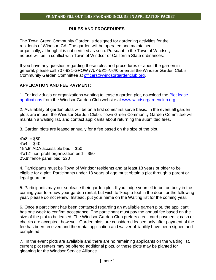#### **RULES AND PROCEDURES**

The Town Green Community Garden is designed for gardening activities for the residents of Windsor, CA. The garden will be operated and maintained organically, although it is not certified as such. Pursuant to the Town of Windsor, no use will be in conflict with Town of Windsor or California State ordinances.

If you have any question regarding these rules and procedures or about the garden in general, please call 707-931-GROW *(707-931-4769)* or email the Windsor Garden Club's Community Garden Committee at [officers@windsorgardenclub.org.](mailto:cg@windsorgardenclub.org?subject=Community%20Garden)

#### **APPLICATION AND FEE PAYMENT:**

1. For individuals or organizations wanting to lease a garden plot, download the **Plot lease** [applications](https://docs.google.com/a/windsorgardenclub.org/viewer?a=v&pid=sites&srcid=d2luZHNvcmdhcmRlbmNsdWIub3JnfHdpbmRzb3ItZ2FyZGVuLWNsdWJ8Z3g6YjY1NGQ2YjZlMGU0MzIz) from the Windsor Garden Club website at [www.windsorgardenclub.org.](http://www.windsorgardenclub.org/)

2. Availability of garden plots will be on a first come/first serve basis. In the event all garden plots are in use, the Windsor Garden Club's Town Green Community Garden Committee will maintain a waiting list, and contact applicants about returning the submitted fees.

3. Garden plots are leased annually for a fee based on the size of the plot.

 $4'x8' = $80$  $4'x4' = $40$  $18"x8'$  ADA accessible bed = \$50  $4'x12"$  non-profit organization bed = \$50 2'X8' fence panel bed=\$20

4. Participants must be Town of Windsor residents and at least 18 years or older to be eligible for a plot. Participants under 18 years of age must obtain a plot through a parent or legal guardian.

5. Participants may not sublease their garden plot. If you judge yourself to be too busy in the coming year to renew your garden rental, but wish to 'keep a foot in the door' for the following year, please do not renew. Instead, put your name on the Waiting list for the coming year.

6. Once a participant has been contacted regarding an available garden plot, the applicant has one week to confirm acceptance. The participant must pay the annual fee based on the size of the plot to be leased. The Windsor Garden Club prefers credit card payments; cash or checks are accepted, however. Garden plots are considered leased only after payment of the fee has been received and the rental application and waiver of liability have been signed and completed.

7. In the event plots are available and there are no remaining applicants on the waiting list, current plot renters may be offered additional plots, or these plots may be planted for gleaning for the Windsor Service Alliance.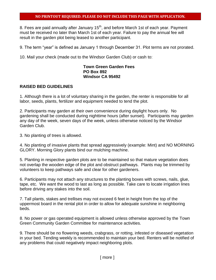8. Fees are paid annually after January 15<sup>th</sup>, and before March 1st of each year. Payment must be received no later than March 1st of each year. Failure to pay the annual fee will result in the garden plot being leased to another participant.

9. The term "year" is defined as January 1 through December 31. Plot terms are not prorated.

10. Mail your check (made out to the Windsor Garden Club) or cash to:

#### **Town Green Garden Fees PO Box 892 Windsor CA 95492**

#### **RAISED BED GUIDELINES**

1. Although there is a lot of voluntary sharing in the garden, the renter is responsible for all labor, seeds, plants, fertilizer and equipment needed to tend the plot.

2. Participants may garden at their own convenience during daylight hours only. No gardening shall be conducted during nighttime hours (after sunset). Participants may garden any day of the week, seven days of the week, unless otherwise noticed by the Windsor Garden Club.

3. No planting of trees is allowed.

4. No planting of invasive plants that spread aggressively (example: Mint) and NO MORNING GLORY. Morning Glory plants bind our mulching machine.

5. Planting in respective garden plots are to be maintained so that mature vegetation does not overlap the wooden edge of the plot and obstruct pathways. Plants may be trimmed by volunteers to keep pathways safe and clear for other gardeners.

6. Participants may not attach any structures to the planting boxes with screws, nails, glue, tape, etc. We want the wood to last as long as possible. Take care to locate irrigation lines before driving any stakes into the soil.

7. Tall plants, stakes and trellises may not exceed 6 feet in height from the top of the uppermost board in the rental plot in order to allow for adequate sunshine in neighboring beds.

8. No power or gas operated equipment is allowed unless otherwise approved by the Town Green Community Garden Committee for maintenance activities.

9. There should be no flowering weeds, crabgrass, or rotting, infested or diseased vegetation in your bed. Tending weekly is recommended to maintain your bed. Renters will be notified of any problems that could negatively impact neighboring plots.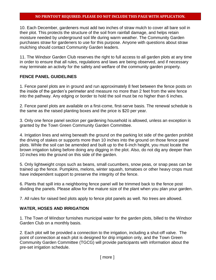10. Each December, gardeners must add two inches of straw mulch to cover all bare soil in their plot. This protects the structure of the soil from rainfall damage, and helps retain moisture needed by underground soil life during warm weather. The Community Garden purchases straw for gardeners to use for this purpose. Anyone with questions about straw mulching should contact Community Garden leaders.

11. The Windsor Garden Club reserves the right to full access to all garden plots at any time in order to ensure that all rules, regulations and laws are being observed, and if necessary may terminate an activity for the safety and welfare of the community garden property.

#### **FENCE PANEL GUIDELINES**

1. Fence panel plots are in ground and run approximately 8 feet between the fence posts on the inside of the garden's perimeter and measure no more than 2 feet from the wire fence into the pathway. Any edging or border to hold the soil must be no higher than 6 inches.

2. Fence panel plots are available on a first-come, first-serve basis. The renewal schedule is the same as the raised planting boxes and the price is \$20 per year.

3. Only one fence panel section per gardening household is allowed, unless an exception is granted by the Town Green Community Garden Committee.

4. Irrigation lines and wiring beneath the ground on the parking lot side of the garden prohibit the driving of stakes or supports more than 10 inches into the ground on those fence panel plots. While the soil can be amended and built up to the 6-inch height, you must locate the brown irrigation tubing before doing any digging in the plot. Also, do not dig any deeper than 10 inches into the ground on this side of the garden.

5. Only lightweight crops such as beans, small cucumbers, snow peas, or snap peas can be trained up the fence. Pumpkins, melons, winter squash, tomatoes or other heavy crops must have independent support to preserve the integrity of the fence.

6. Plants that spill into a neighboring fence panel will be trimmed back to the fence post dividing the panels. Please allow for the mature size of the plant when you plan your garden.

7. All rules for raised bed plots apply to fence plot panels as well. No trees are allowed.

#### **WATER, HOSES AND IRRIGATION**

1. The Town of Windsor furnishes municipal water for the garden plots, billed to the Windsor Garden Club on a monthly basis.

2. Each plot will be provided a connection to the irrigation, including a shut-off valve. The point of connection at each plot is designed for drip irrigation only, and the Town Green Community Garden Committee (TGCG) will provide participants with information about the pre-set irrigation schedule.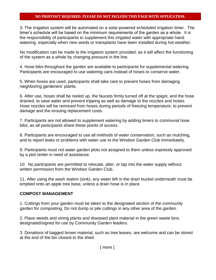3. The irrigation system will be automated on a solar-powered scheduled irrigation timer. The timer's schedule will be based on the minimum requirements of the garden as a whole. It is the responsibility of participants to supplement this irrigated water with appropriate hand watering, especially when new seeds or transplants have been installed during hot weather.

No modification can be made to the irrigation system provided, as it will affect the functioning of the system as a whole by changing pressure in the line.

4. Hose bibs throughout the garden are available to participants for supplemental watering. Participants are encouraged to use watering cans instead of hoses to conserve water.

5. When hoses are used, participants shall take care to prevent hoses from damaging neighboring gardeners' plants.

6. After use, hoses shall be reeled up, the faucets firmly turned off at the spigot, and the hose drained, to save water and prevent tripping as well as damage to the nozzles and hoses. Hose nozzles will be removed from hoses during periods of freezing temperature, to prevent damage and the ensuing replacement costs.

7. Participants are not allowed to supplement watering by adding timers to communal hose bibs, as all participants share these points of access.

8. Participants are encouraged to use all methods of water conservation, such as mulching, and to report leaks or problems with water use to the Windsor Garden Club immediately.

9. Participants must not water garden plots not assigned to them unless expressly approved by a plot renter in need of assistance.

10. No participants are permitted to relocate, alter, or tap into the water supply without written permission from the Windsor Garden Club.

11. After using the wash station (sink), any water left in the drain bucket underneath must be emptied onto an apple tree base, unless a drain hose is in place.

#### **COMPOST MANAGEMENT**

1. Cuttings from your garden must be taken to the designated section of the community garden for composting. Do not dump or pile cuttings in any other area of the garden.

2. Place weeds and vining plants and diseased plant material in the green waste bins designated/signed for use by Community Garden leaders.

3. Donations of bagged brown material, such as tree leaves, are welcome and can be stored at the end of the bin closest to the shed.

[ more ]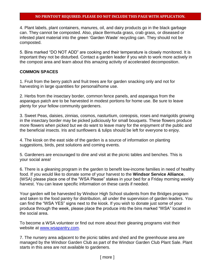4. Plant labels, plant containers, manures, oil, and dairy products go in the black garbage can. They cannot be composted. Also, place Bermuda grass, crab grass, or diseased or infested plant material into the green 'Garden Waste' recycling can. They should not be composted.

5. Bins marked "DO NOT ADD" are cooking and their temperature is closely monitored. It is important they not be disturbed. Contact a garden leader if you wish to work more actively in the compost area and learn about this amazing activity of accelerated decomposition.

#### **COMMON SPACES**

1. Fruit from the berry patch and fruit trees are for garden snacking only and not for harvesting in large quantities for personal/home use.

2. Herbs from the insectary border, common fence panels, and asparagus from the asparagus patch are to be harvested in modest portions for home use. Be sure to leave plenty for your fellow community gardeners.

3. Sweet Peas, daisies, zinnias, cosmos, nasturtium, coreopsis, roses and marigolds growing in the insectary border may be picked judiciously for small bouquets. These flowers produce more flowers when picked but we do want to leave many for the enjoyment of the public and the beneficial insects. Iris and sunflowers & tulips should be left for everyone to enjoy.

4. The kiosk on the east side of the garden is a source of information on planting suggestions, birds, pest solutions and coming events.

5. Gardeners are encouraged to dine and visit at the picnic tables and benches. This is your social area!

6. There is a gleaning program in the garden to benefit low-income families in need of healthy food. If you would like to donate some of your harvest to the **Windsor Service Alliance**, (WSA) please place one of the "WSA Please" stakes in your bed for a Friday morning weekly harvest. You can leave specific information on these cards if needed.

Your garden will be harvested by Windsor High School students from the Bridges program and taken to the food pantry for distribution, all under the supervision of garden leaders. You can find the "WSA YES" signs next to the kiosk. If you wish to donate just some of your produce through the week, please place the produce into the bins marked "WSA" located in the social area.

To become a WSA volunteer or find out more about their gleaning programs visit their website at [www.wsapantry.com.](http://www.wsapantry.com/)

7. The nursery area adjacent to the picnic tables and shed and the greenhouse area are managed by the Windsor Garden Club as part of the Windsor Garden Club Plant Sale. Plant starts in this area are not available to gardeners.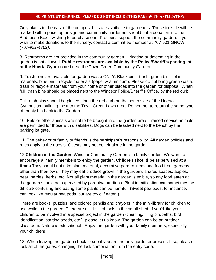Only plants to the east of the compost bins are available to gardeners. Those for sale will be marked with a price tag or sign and community gardeners should put a donation into the Birdhouse Box if wishing to purchase one. Proceeds support the community garden. If you wish to make donations to the nursery, contact a committee member at 707-931-GROW *(707-931-4769).*

8. Restrooms are not provided in the community garden. Urinating or defecating in the garden is not allowed. **Public restrooms are available by the Police/Sheriff's parking lot at the Huerta Gym** located near the Town Green Community Garden.

9. Trash bins are available for garden waste ONLY. Black bin = trash, green bin = plant materials, blue bin = recycle materials (paper & aluminum). Please do not bring green waste, trash or recycle materials from your home or other places into the garden for disposal. When full, trash bins should be placed next to the Windsor Police/Sheriff's Office, by the red curb.

Full trash bins should be placed along the red curb on the south side of the Huerta Gymnasium building, next to the Town Green Lawn area. Remember to return the same type of empty bin back to the Garden.

10. Pets or other animals are not to be brought into the garden area. Trained service animals are permitted for those with disabilities. Dogs can be leashed next to the bench by the parking lot gate.

11. The behavior of family or friends is the participant's responsibility. All garden policies and rules apply to the guests. Guests may not be left alone in the garden.

12 **Children in the Garden:** Windsor Community Garden is a family garden. We want to encourage all family members to enjoy the garden. **Children should be supervised at all times**.They should not take plant material, decorative garden items and food from gardens other than their own. They may eat produce grown in the garden's shared spaces: apples, pear, berries, herbs, etc. Not all plant material in the garden is edible, so any food eaten at the garden should be supervised by parents/guardians. Plant identification can sometimes be difficult/ confusing and eating some plants can be harmful. (Sweet pea pods, for instance, can look like regular pea pods, but are toxic if eaten.)

There are books, puzzles, and colored pencils and crayons in the mini-library for children to use while in the garden. There are child-sized tools in the small shed. If you'd like your children to be involved in a special project in the garden (cleaning/filling birdbaths, bird identification, starting seeds, etc.), please let us know. The garden can be an outdoor classroom. Nature is educational! Enjoy the garden with your family members, especially your children!

13. When leaving the garden check to see if you are the only gardener present. If so, please lock all of the gates, changing the lock combination from the entry code.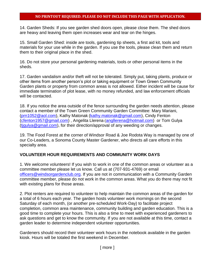14. Garden Sheds: If you see garden shed doors open, please close them. The shed doors are heavy and leaving them open increases wear and tear on the hinges.

15. Small Garden Shed: inside are tools, gardening tip sheets, a first aid kit, tools and materials for your use while in the garden. If you use the tools, please clean them and return them to their original place in the shed.

16. Do not store your personal gardening materials, tools or other personal items in the sheds.

17. Garden vandalism and/or theft will not be tolerated. Simply put, taking plants, produce or other items from another person's plot or taking equipment or Town Green Community Garden plants or property from common areas is not allowed. Either incident will be cause for immediate termination of plot lease, with no money refunded, and law enforcement officials will be contacted.

18. If you notice the area outside of the fence surrounding the garden needs attention, please contact a member of the Town Green Community Garden Committee: Mary Mariani, [\(prn1052@aol.com\)](mailto:prn1052@aol.com), Kathy Matonak [\(kathy.matonak@gmail.com\)](mailto:kathy.matonak@gmail.com), Cindy Fenton [\(cfenton1957@gmail.com\)](mailto:cfenton1957@gmail.com), Angelita Llerena ([angllerena@hotmail.com\)](mailto:angllerena@hotmail.com) or Tom Gulya [\(tjgulya@gmail.com\)](mailto:tjgulya@gmail.com), for their direction/approval of any weeding or changes.

19. The Food Forest at the corner of Windsor Road & Joe Rodota Way is managed by one of our Co-Leaders, a Sonoma County Master Gardener, who directs all care efforts in this specialty area.

#### **VOLUNTEER HOUR REQUIREMENTS AND COMMUNITY WORK DAYS**

1. We welcome volunteers! If you wish to work in one of the common areas or volunteer as a committee member please let us know. Call us at (707-931-4769) or email [officers@windsorgardenclub.org.](mailto:cg@windsorgardenclub.org) If you are not in communication with a Community Garden committee member, please do not work in the common areas. What you do there may not fit with existing plans for those areas.

2. Plot renters are required to volunteer to help maintain the common areas of the garden for a total of 6 hours each year. The garden hosts volunteer work mornings on the second Saturday of each month, (or another pre-scheduled Work-Day) to facilitate project completion, common area maintenance, community building and garden education. This is a good time to complete your hours. This is also a time to meet with experienced gardeners to ask questions and get to know the community. If you are not available at this time, contact a garden leader to determine independent volunteer opportunities.

Gardeners should record their volunteer work hours in the notebook available in the garden kiosk. Hours will be totaled the first weekend in December.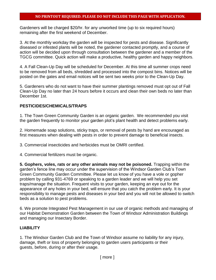Gardeners will be charged \$20/hr. for any unworked time (up to six required hours) remaining after the first weekend of December.

3. At the monthly workday the garden will be inspected for pests and disease. Significantly diseased or infested plants will be noted, the gardener contacted promptly, and a course of action will be decided upon through consultation between the gardener and a member of the TGCG committee. Quick action will make a productive, healthy garden and happy neighbors.

4. A Fall Clean-Up Day will be scheduled for December. At this time all summer crops need to be removed from all beds, shredded and processed into the compost bins. Notices will be posted on the gates and email notices will be sent two weeks prior to the Clean-Up Day.

5. Gardeners who do not want to have their summer plantings removed must opt out of Fall Clean-Up Day no later than 24 hours before it occurs and clean their own beds no later than December 1st.

#### **PESTICIDES/CHEMICALS/TRAPS**

1. The Town Green Community Garden is an organic garden. We recommended you visit the garden frequently to monitor your garden plot's plant health and detect problems early.

2. Homemade soap solutions, sticky traps, or removal of pests by hand are encouraged as first measures when dealing with pests in order to prevent damage to beneficial insects.

3. Commercial insecticides and herbicides must be OMRI certified.

4. Commercial fertilizers must be organic.

**5. Gophers, voles, rats or any other animals may not be poisoned.** Trapping within the garden's fence line may occur under the supervision of the Windsor Garden Club's Town Green Community Garden Committee. Please let us know of you have a vole or gopher problem by calling 931-4769 or speaking to a garden leader and we will help you set traps/manage the situation. Frequent visits to your garden, keeping an eye out for the appearance of any holes in your bed, will ensure that you catch the problem early. It is your responsibility to manage pests and diseases in your bed and you will not be allowed to switch beds as a solution to pest problems.

6. We promote Integrated Pest Management in our use of organic methods and managing of our Habitat Demonstration Garden between the Town of Windsor Administration Buildings and managing our Insectary Border.

#### **LIABILITY**

1. The Windsor Garden Club and the Town of Windsor assume no liability for any injury, damage, theft or loss of property belonging to garden users participants or their guests, before, during or after their usage.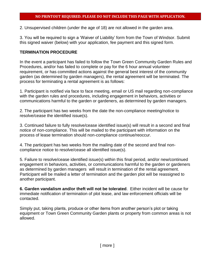2. Unsupervised children (under the age of 18) are not allowed in the garden area.

3. You will be required to sign a 'Waiver of Liability' form from the Town of Windsor. Submit this signed waiver (below) with your application, fee payment and this signed form.

#### **TERMINATION PROCEDURE**

In the event a participant has failed to follow the Town Green Community Garden Rules and Procedures, and/or has failed to complete or pay for the 6 hour annual volunteer requirement, or has committed actions against the general best interest of the community garden (as determined by garden managers), the rental agreement will be terminated. The process for terminating a rental agreement is as follows:

1. Participant is notified via face to face meeting, email or US mail regarding non-compliance with the garden rules and procedures, including engagement in behaviors, activities or communications harmful to the garden or gardeners, as determined by garden managers.

2. The participant has two weeks from the date the non-compliance meeting/notice to resolve/cease the identified issue(s).

3. Continued failure to fully resolve/cease identified issue(s) will result in a second and final notice of non-compliance. This will be mailed to the participant with information on the process of lease termination should non-compliance continue/reoccur.

4. The participant has two weeks from the mailing date of the second and final noncompliance notice to resolve/cease all identified issue(s).

5. Failure to resolve/cease identified issue(s) within this final period, and/or new/continued engagement in behaviors, activities, or communications harmful to the garden or gardeners as determined by garden managers will result in termination of the rental agreement. Participant will be mailed a letter of termination and the garden plot will be reassigned to another participant.

**6. Garden vandalism and/or theft will not be tolerated**. Either incident will be cause for immediate notification of termination of plot lease, and law enforcement officials will be contacted.

Simply put, taking plants, produce or other items from another person's plot or taking equipment or Town Green Community Garden plants or property from common areas is not allowed.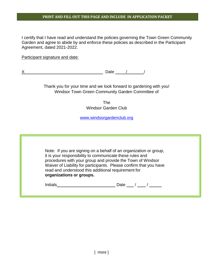#### **PRINT AND FILL OUT THIS PAGE AND INCLUDE IN APPLICATION PACKET**

I certify that I have read and understand the policies governing the Town Green Community Garden and agree to abide by and enforce these policies as described in the Participant Agreement, dated 2021-2022.

Participant signature and date:

X Date / / /

Thank you for your time and we look forward to gardening with you! Windsor Town Green Community Garden Committee of

> The Windsor Garden Club

[www.windsorgardenclub.org](http://www.windsorgardenclub.org/)

| organizations or groups. | Note: If you are signing on a behalf of an organization or group,<br>it is your responsibility to communicate these rules and<br>procedures with your group and provide the Town of Windsor<br>Waiver of Liability for participants. Please confirm that you have<br>read and understood this additional requirement for |
|--------------------------|--------------------------------------------------------------------------------------------------------------------------------------------------------------------------------------------------------------------------------------------------------------------------------------------------------------------------|
| <b>Initials</b>          | Date                                                                                                                                                                                                                                                                                                                     |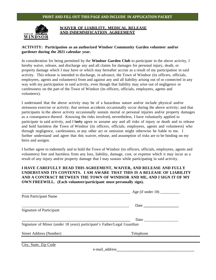#### **PRINT AND FILL OUT THIS PAGE AND INCLUDE IN APPLICATION PACKET**



#### **WAIVER OF LIABILITY, MEDICAL RELEASE AND INDEMNIFICATION AGREEMENT**

#### **ACTIVITY: Participation as an authorized Windsor Community Garden volunteer and/or gardener during the 2021 calendar year.**

In consideration for being permitted by the **Windsor Garden Club** to participate in the above activity, I hereby waive, release, and discharge any and all claims for damages for personal injury, death, or property damage which I may have or which may hereafter accrue as a result of my participation in said activity. This release is intended to discharge, in advance, the Town of Windsor (its officers, officials, employees, agents and volunteers) from and against any and all liability arising out of or connected in any way with my participation in said activity, even though that liability may arise out of negligence or carelessness on the part of the Town of Windsor (its officers, officials, employees, agents and volunteers).

I understand that the above activity may be of a hazardous nature and/or include physical and/or strenuous exercise or activity; that serious accidents occasionally occur during the above activity; and that participants in the above activity occasionally sustain mortal or personal injuries and/or property damages as a consequence thereof. Knowing the risks involved**,** nevertheless, I have voluntarily applied to participate in said activity, and I hereby agree to assume any and all risks of injury or death and to release and hold harmless the Town of Windsor (its officers, officials, employees, agents and volunteers) who through negligence, carelessness, or any other act or omission might otherwise be liable to me. I further understand and agree that this waiver, release, and assumption of risks are to be binding on my heirs and assigns.

I further agree to indemnify and to hold the Town of Windsor (its officers, officials, employees, agents and volunteers) free and harmless from any loss, liability, damage, cost, or expense which it may incur as a result of any injury and/or property damage that I may sustain while participating in said activity.

#### **I HAVE CAREFULLY READ THIS AGREEMENT, WAIVER, AND RELEASE AND FULLY UNDERSTAND ITS CONTENTS. I AM AWARE THAT THIS IS A RELEASE OF LIABILITY AND A CONTRACT BETWEEN THE TOWN OF WINDSOR AND ME, AND I SIGN IT OF MY OWN FREEWILL. (Each volunteer/participant must personally sign).**

| <b>Print Participant Name</b>                                           |           |
|-------------------------------------------------------------------------|-----------|
|                                                                         |           |
| <b>Signature of Participant</b>                                         |           |
|                                                                         |           |
| Signature of Minor (under 18 years) participant's Father/Legal Guardian |           |
| <b>Street Address (Number)</b>                                          | Telephone |
|                                                                         |           |
| City, State, Zip Code                                                   |           |

e-mail\_address\_\_\_\_\_\_\_\_\_\_\_\_\_\_\_\_\_\_\_\_\_\_\_\_\_\_\_\_\_\_\_\_\_\_\_\_